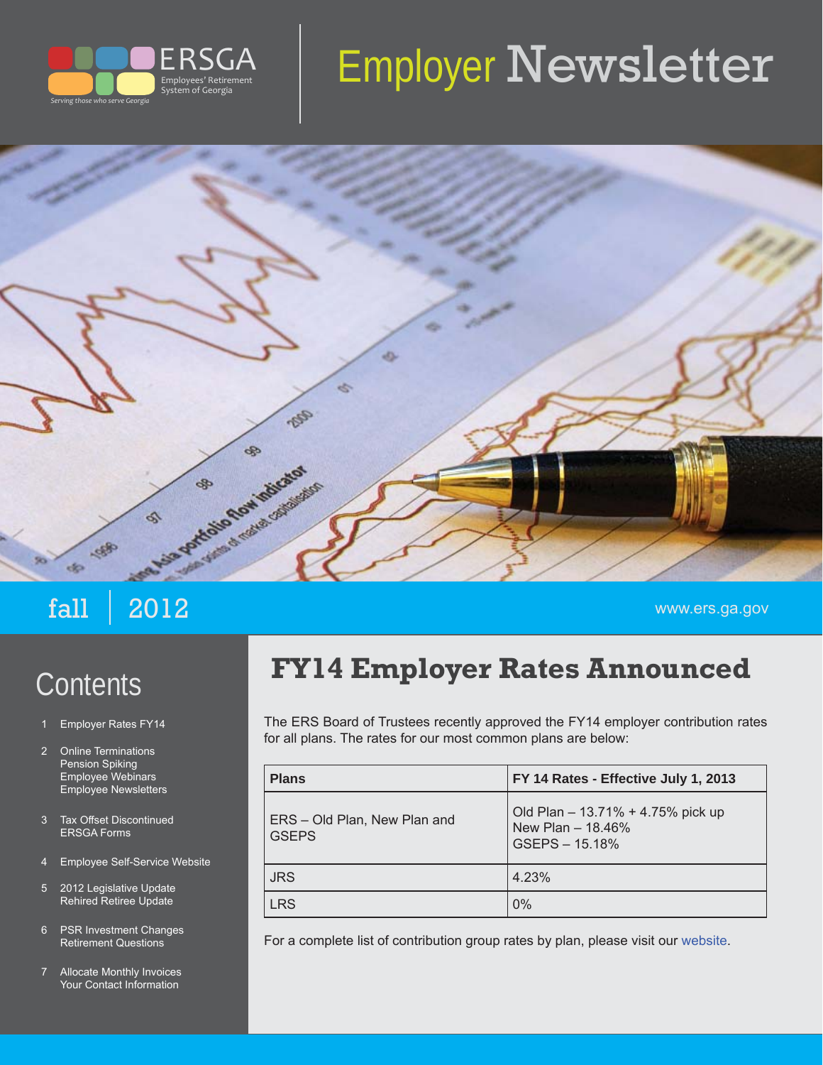

# Employer Newsletter



- 1 Employer Rates FY14
- 2 Online Terminations Pension Spiking Employee Webinars Employee Newsletters
- 3 Tax Offset Discontinued ERSGA Forms
- 4 Employee Self-Service Website
- 5 2012 Legislative Update Rehired Retiree Update
- 6 PSR Investment Changes Retirement Questions
- 7 Allocate Monthly Invoices Your Contact Information

# Contents **FY14 Employer Rates Announced**

The ERS Board of Trustees recently approved the FY14 employer contribution rates for all plans. The rates for our most common plans are below:

| <b>Plans</b>                                 | FY 14 Rates - Effective July 1, 2013                                       |
|----------------------------------------------|----------------------------------------------------------------------------|
| ERS - Old Plan, New Plan and<br><b>GSEPS</b> | Old Plan - 13.71% + 4.75% pick up<br>New Plan $-$ 18.46%<br>GSEPS - 15.18% |
| <b>JRS</b>                                   | 4.23%                                                                      |
| <b>LRS</b>                                   | $0\%$                                                                      |

For a complete list of contribution group rates by plan, please visit our [website.](http://www.ers.ga.gov/formspubs/formspubs/EmployerContributionRatesFY14.pdf)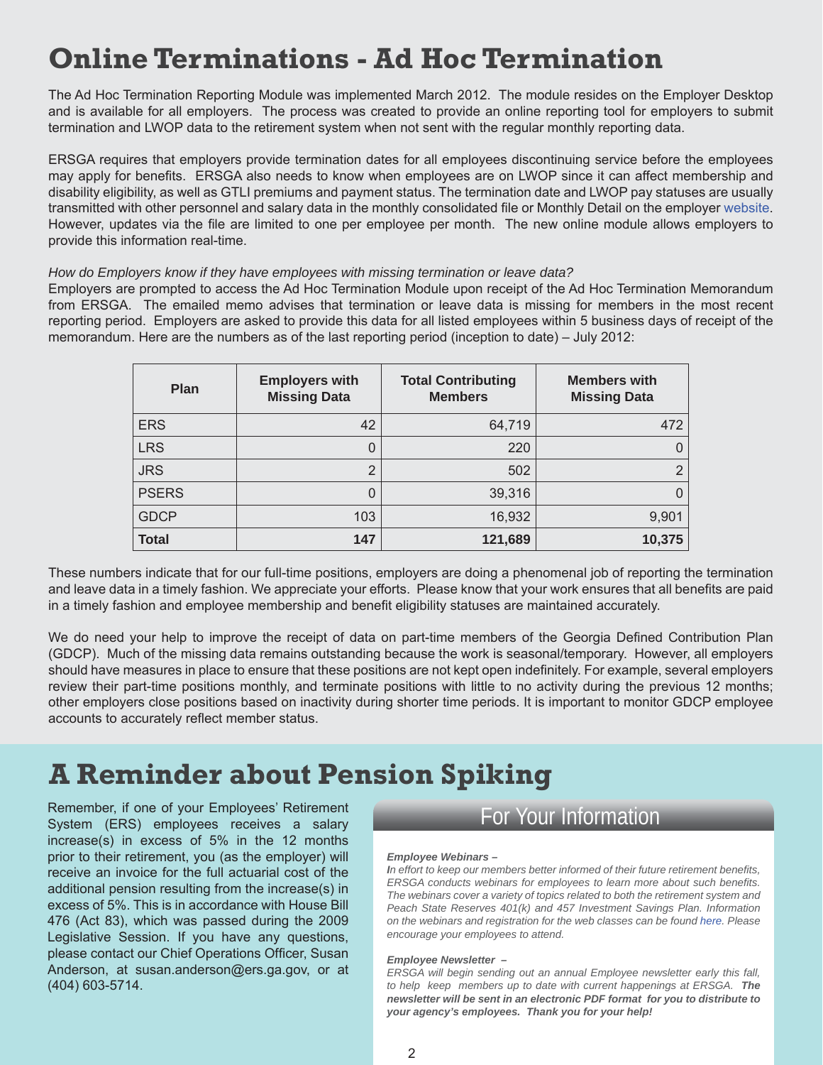### **Online Terminations - Ad Hoc Termination**

The Ad Hoc Termination Reporting Module was implemented March 2012. The module resides on the Employer Desktop and is available for all employers. The process was created to provide an online reporting tool for employers to submit termination and LWOP data to the retirement system when not sent with the regular monthly reporting data.

ERSGA requires that employers provide termination dates for all employees discontinuing service before the employees may apply for benefits. ERSGA also needs to know when employees are on LWOP since it can affect membership and disability eligibility, as well as GTLI premiums and payment status. The termination date and LWOP pay statuses are usually transmitted with other personnel and salary data in the monthly consolidated file or Monthly Detail on the employer [website.](https://secure.ers.ga.gov/Employer/EmployerLogon.aspx) However, updates via the file are limited to one per employee per month. The new online module allows employers to provide this information real-time.

#### *How do Employers know if they have employees with missing termination or leave data?*

Employers are prompted to access the Ad Hoc Termination Module upon receipt of the Ad Hoc Termination Memorandum from ERSGA. The emailed memo advises that termination or leave data is missing for members in the most recent reporting period. Employers are asked to provide this data for all listed employees within 5 business days of receipt of the memorandum. Here are the numbers as of the last reporting period (inception to date) – July 2012:

| <b>Plan</b>  | <b>Employers with</b><br><b>Missing Data</b> | <b>Total Contributing</b><br><b>Members</b> | <b>Members with</b><br><b>Missing Data</b> |
|--------------|----------------------------------------------|---------------------------------------------|--------------------------------------------|
| <b>ERS</b>   | 42                                           | 64,719                                      | 472                                        |
| <b>LRS</b>   | 0                                            | 220                                         | $\Omega$                                   |
| <b>JRS</b>   | $\overline{2}$                               | 502                                         | $\overline{2}$                             |
| <b>PSERS</b> | 0                                            | 39,316                                      | 0                                          |
| <b>GDCP</b>  | 103                                          | 16,932                                      | 9,901                                      |
| <b>Total</b> | 147                                          | 121,689                                     | 10,375                                     |

These numbers indicate that for our full-time positions, employers are doing a phenomenal job of reporting the termination and leave data in a timely fashion. We appreciate your efforts. Please know that your work ensures that all benefits are paid in a timely fashion and employee membership and benefit eligibility statuses are maintained accurately.

We do need your help to improve the receipt of data on part-time members of the Georgia Defined Contribution Plan (GDCP). Much of the missing data remains outstanding because the work is seasonal/temporary. However, all employers should have measures in place to ensure that these positions are not kept open indefinitely. For example, several employers review their part-time positions monthly, and terminate positions with little to no activity during the previous 12 months; other employers close positions based on inactivity during shorter time periods. It is important to monitor GDCP employee accounts to accurately reflect member status.

## **A Reminder about Pension Spiking**

Remember, if one of your Employees' Retirement System (ERS) employees receives a salary increase(s) in excess of 5% in the 12 months prior to their retirement, you (as the employer) will receive an invoice for the full actuarial cost of the additional pension resulting from the increase(s) in excess of 5%. This is in accordance with House Bill 476 (Act 83), which was passed during the 2009 Legislative Session. If you have any questions, please contact our Chief Operations Officer, Susan Anderson, at susan.anderson@ers.ga.gov, or at (404) 603-5714.

For Your Information

#### *Employee Webinars –*

*In effort to keep our members better informed of their future retirement benefi ts, ERSGA conducts webinars for employees to learn more about such benefits. The webinars cover a variety of topics related to both the retirement system and Peach State Reserves 401(k) and 457 Investment Savings Plan. Information on the webinars and registration for the web classes can be found [here.](http://www.ers.ga.gov/seminars/webinars.aspx) Please encourage your employees to attend.*

#### *Employee Newsletter –*

*ERSGA will begin sending out an annual Employee newsletter early this fall, to help keep members up to date with current happenings at ERSGA. The newsletter will be sent in an electronic PDF format for you to distribute to your agency's employees. Thank you for your help!*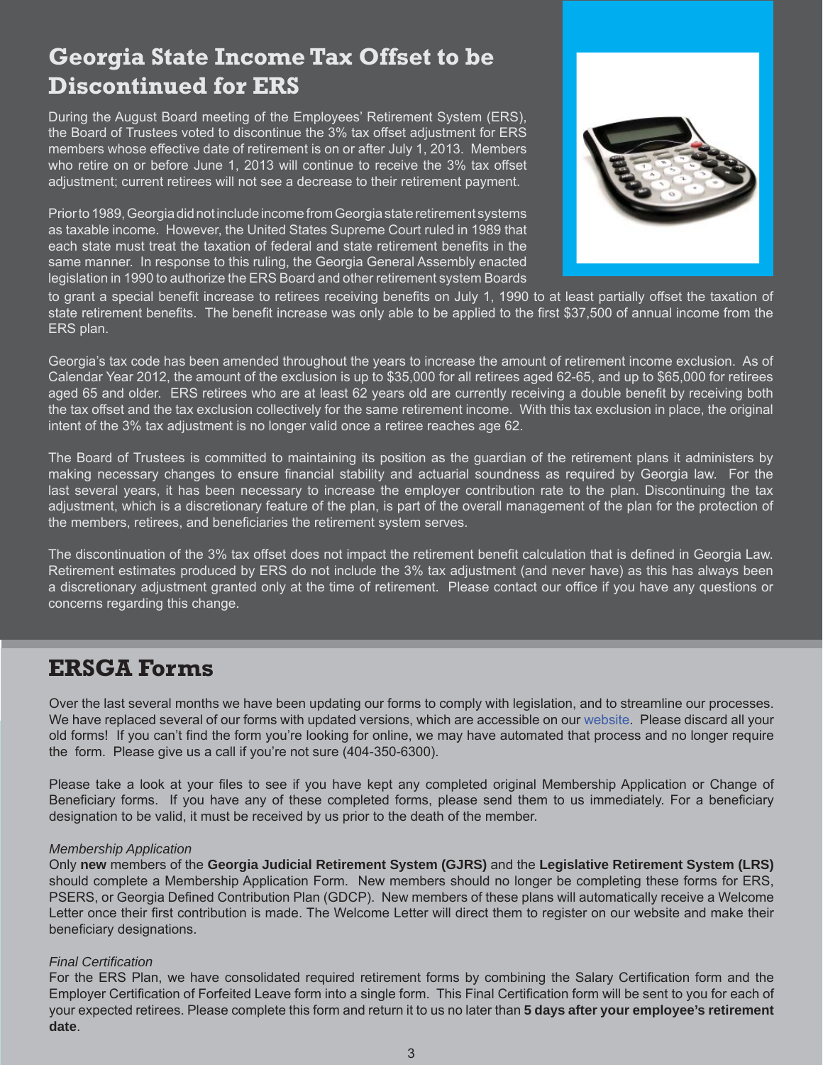### **Georgia State Income Tax Offset to be Discontinued for ERS**

During the August Board meeting of the Employees' Retirement System (ERS), the Board of Trustees voted to discontinue the 3% tax offset adjustment for ERS members whose effective date of retirement is on or after July 1, 2013. Members who retire on or before June 1, 2013 will continue to receive the 3% tax offset adjustment; current retirees will not see a decrease to their retirement payment.

Prior to 1989, Georgia did not include income from Georgia state retirement systems as taxable income. However, the United States Supreme Court ruled in 1989 that each state must treat the taxation of federal and state retirement benefits in the same manner. In response to this ruling, the Georgia General Assembly enacted legislation in 1990 to authorize the ERS Board and other retirement system Boards



to grant a special benefit increase to retirees receiving benefits on July 1, 1990 to at least partially offset the taxation of state retirement benefits. The benefit increase was only able to be applied to the first \$37,500 of annual income from the ERS plan.

Georgia's tax code has been amended throughout the years to increase the amount of retirement income exclusion. As of Calendar Year 2012, the amount of the exclusion is up to \$35,000 for all retirees aged 62-65, and up to \$65,000 for retirees aged 65 and older. ERS retirees who are at least 62 years old are currently receiving a double benefit by receiving both the tax offset and the tax exclusion collectively for the same retirement income. With this tax exclusion in place, the original intent of the 3% tax adjustment is no longer valid once a retiree reaches age 62.

The Board of Trustees is committed to maintaining its position as the guardian of the retirement plans it administers by making necessary changes to ensure financial stability and actuarial soundness as required by Georgia law. For the last several years, it has been necessary to increase the employer contribution rate to the plan. Discontinuing the tax adjustment, which is a discretionary feature of the plan, is part of the overall management of the plan for the protection of the members, retirees, and beneficiaries the retirement system serves.

The discontinuation of the 3% tax offset does not impact the retirement benefit calculation that is defined in Georgia Law. Retirement estimates produced by ERS do not include the 3% tax adjustment (and never have) as this has always been a discretionary adjustment granted only at the time of retirement. Please contact our office if you have any questions or concerns regarding this change.

### **ERSGA Forms**

Over the last several months we have been updating our forms to comply with legislation, and to streamline our processes. We have replaced several of our forms with updated versions, which are accessible on our [website.](http://www.ers.ga.gov/formspubs/formspubs.aspx) Please discard all your old forms! If you can't find the form you're looking for online, we may have automated that process and no longer require the form. Please give us a call if you're not sure (404-350-6300).

Please take a look at your files to see if you have kept any completed original Membership Application or Change of Beneficiary forms. If you have any of these completed forms, please send them to us immediately. For a beneficiary designation to be valid, it must be received by us prior to the death of the member.

#### *Membership Application*

Only **new** members of the **Georgia Judicial Retirement System (GJRS)** and the **Legislative Retirement System (LRS)**  should complete a Membership Application Form. New members should no longer be completing these forms for ERS, PSERS, or Georgia Defined Contribution Plan (GDCP). New members of these plans will automatically receive a Welcome Letter once their first contribution is made. The Welcome Letter will direct them to register on our website and make their beneficiary designations.

### **Final Certification**

For the ERS Plan, we have consolidated required retirement forms by combining the Salary Certification form and the Employer Certification of Forfeited Leave form into a single form. This Final Certification form will be sent to you for each of your expected retirees. Please complete this form and return it to us no later than **5 days after your employee's retirement date**.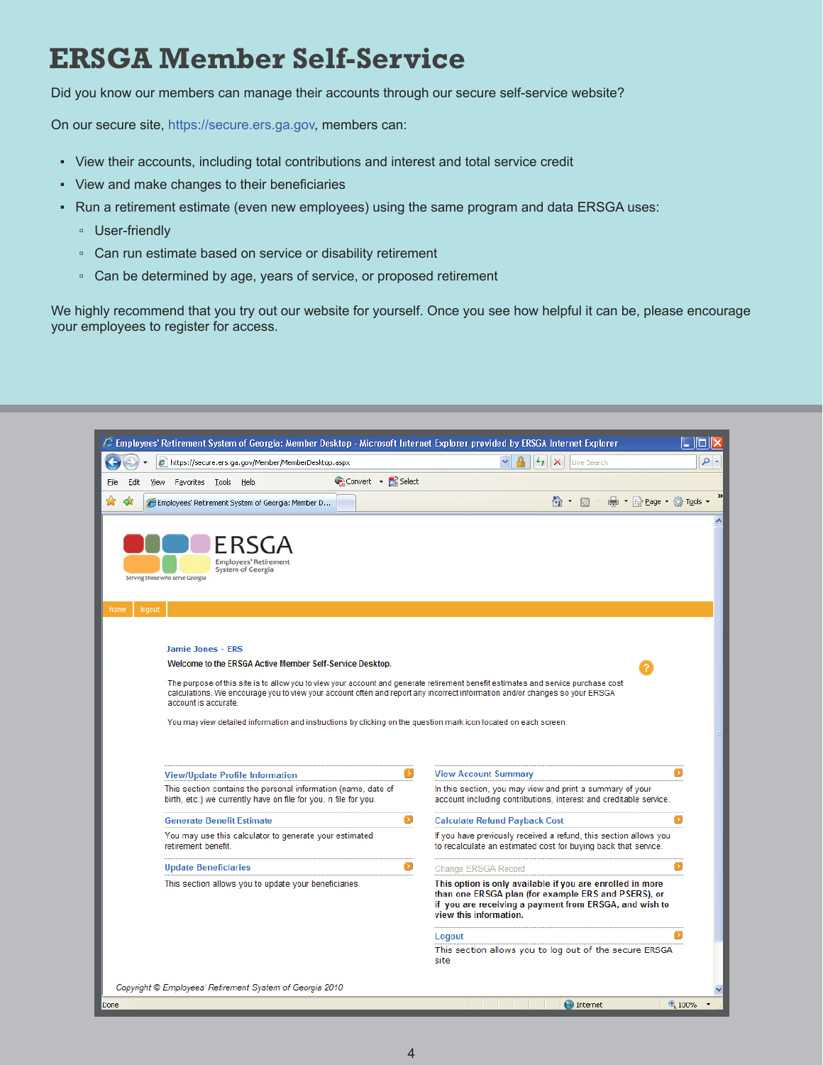### **ERSGA Member Self-Service**

Did you know our members can manage their accounts through our secure self-service website?

On our secure site, [https://secure.ers.ga.gov,](https://secure.ers.ga.gov/) members can:

- View their accounts, including total contributions and interest and total service credit
- View and make changes to their beneficiaries
- Run a retirement estimate (even new employees) using the same program and data ERSGA uses:
	- User-friendly
	- Can run estimate based on service or disability retirement
	- Can be determined by age, years of service, or proposed retirement

We highly recommend that you try out our website for yourself. Once you see how helpful it can be, please encourage your employees to register for access.

| E Employees' Retirement System of Georgia: Member Desktop - Microsoft Internet Explorer provided by ERSGA Internet Explorer<br>IП                                                                                                                                                                                                                                                                                                                                                                    |                                                                                                                                                                                                      |               |  |  |
|------------------------------------------------------------------------------------------------------------------------------------------------------------------------------------------------------------------------------------------------------------------------------------------------------------------------------------------------------------------------------------------------------------------------------------------------------------------------------------------------------|------------------------------------------------------------------------------------------------------------------------------------------------------------------------------------------------------|---------------|--|--|
| e https://secure.ers.ga.gov/Member/MemberDesktop.aspx                                                                                                                                                                                                                                                                                                                                                                                                                                                | ive Search                                                                                                                                                                                           | - م           |  |  |
| Convert - R Select<br>File<br>View Favorites Tools Help<br>Edit                                                                                                                                                                                                                                                                                                                                                                                                                                      |                                                                                                                                                                                                      |               |  |  |
| Employees' Retirement System of Georgia: Member D                                                                                                                                                                                                                                                                                                                                                                                                                                                    | ● · 2 Page · O Tools<br>$\wedge$ .<br>同                                                                                                                                                              | $\rightarrow$ |  |  |
| FRSGA<br><b>Employees' Retirement</b><br>System of Georgia<br>Serving those who serve Georgia<br>logou<br>home                                                                                                                                                                                                                                                                                                                                                                                       |                                                                                                                                                                                                      |               |  |  |
| <b>Jamie Jones - ERS</b><br>Welcome to the ERSGA Active Member Self-Service Desktop.<br>The purpose of this site is to allow you to view your account and generate retirement benefit estimates and service purchase cost<br>calculations. We encourage you to view your account often and report any incorrect information and/or changes so your ERSGA<br>account is accurate.<br>You may view detailed information and instructions by clicking on the question mark icon located on each screen. |                                                                                                                                                                                                      |               |  |  |
| Œ<br><b>View/Update Profile Information</b>                                                                                                                                                                                                                                                                                                                                                                                                                                                          | <b>View Account Summary</b>                                                                                                                                                                          | Ø             |  |  |
| This section contains the personal information (name, date of<br>birth, etc.) we currently have on file for you. n file for you.                                                                                                                                                                                                                                                                                                                                                                     | In this section, you may view and print a summary of your<br>account including contributions, interest and creditable service.                                                                       |               |  |  |
| ø<br><b>Generate Benefit Estimate</b>                                                                                                                                                                                                                                                                                                                                                                                                                                                                | <b>Calculate Refund Payback Cost</b>                                                                                                                                                                 | O             |  |  |
| You may use this calculator to generate your estimated<br>retirement benefit.                                                                                                                                                                                                                                                                                                                                                                                                                        | If you have previously received a refund, this section allows you<br>to recalculate an estimated cost for buying back that service.                                                                  |               |  |  |
| Ø<br><b>Update Beneficiaries</b>                                                                                                                                                                                                                                                                                                                                                                                                                                                                     | Change ERSGA Record                                                                                                                                                                                  |               |  |  |
| This section allows you to update your beneficiaries.                                                                                                                                                                                                                                                                                                                                                                                                                                                | This option is only available if you are enrolled in more<br>than one ERSGA plan (for example ERS and PSERS), or<br>if you are receiving a payment from ERSGA, and wish to<br>view this information. |               |  |  |
|                                                                                                                                                                                                                                                                                                                                                                                                                                                                                                      | Logout<br>This section allows you to log out of the secure ERSGA<br>site                                                                                                                             |               |  |  |
| Copyright © Employees' Retirement System of Georgia 2010                                                                                                                                                                                                                                                                                                                                                                                                                                             |                                                                                                                                                                                                      |               |  |  |
| Done                                                                                                                                                                                                                                                                                                                                                                                                                                                                                                 | <b>O</b> Internet                                                                                                                                                                                    | 4100%         |  |  |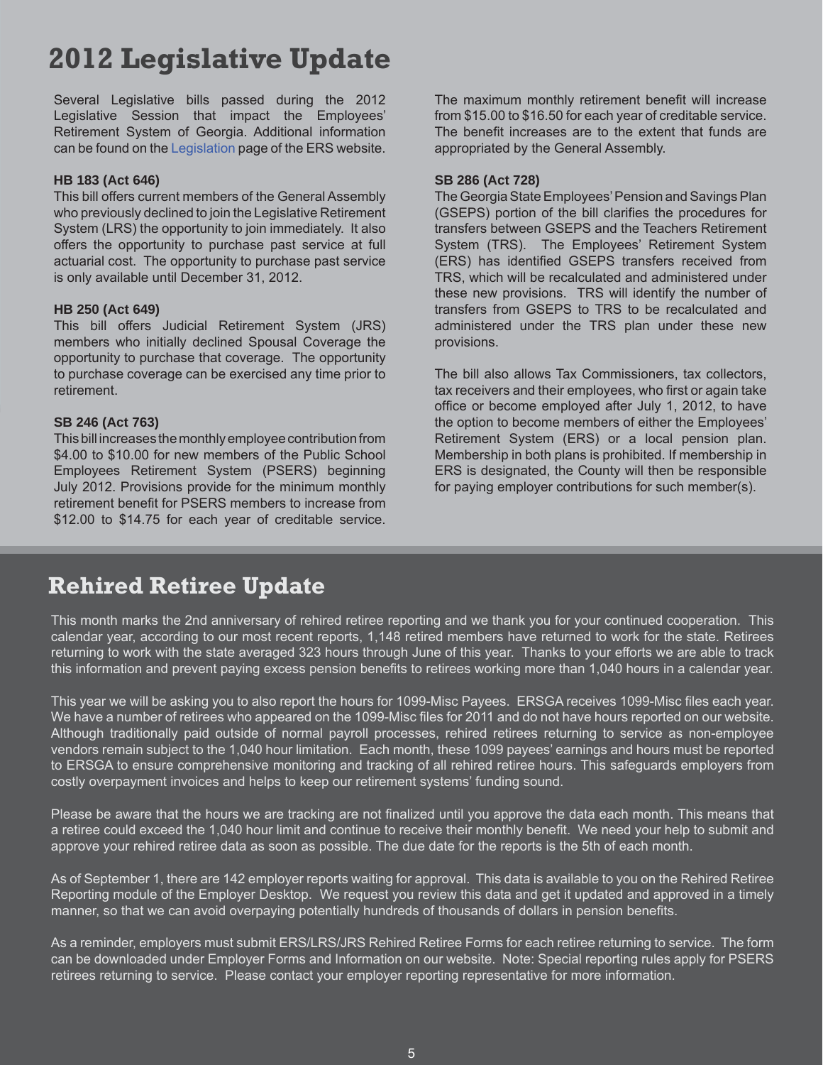### **2012 Legislative Update**

Several Legislative bills passed during the 2012 Legislative Session that impact the Employees' Retirement System of Georgia. Additional information can be found on the [Legislation](http://www.ers.ga.gov/legislation/legislation.aspx) page of the ERS website.

### **HB 183 (Act 646)**

This bill offers current members of the General Assembly who previously declined to join the Legislative Retirement System (LRS) the opportunity to join immediately. It also offers the opportunity to purchase past service at full actuarial cost. The opportunity to purchase past service is only available until December 31, 2012.

#### **HB 250 (Act 649)**

This bill offers Judicial Retirement System (JRS) members who initially declined Spousal Coverage the opportunity to purchase that coverage. The opportunity to purchase coverage can be exercised any time prior to retirement.

#### **SB 246 (Act 763)**

This bill increases the monthly employee contribution from \$4.00 to \$10.00 for new members of the Public School Employees Retirement System (PSERS) beginning July 2012. Provisions provide for the minimum monthly retirement benefit for PSERS members to increase from \$12.00 to \$14.75 for each year of creditable service. The maximum monthly retirement benefit will increase from \$15.00 to \$16.50 for each year of creditable service. The benefit increases are to the extent that funds are appropriated by the General Assembly.

#### **SB 286 (Act 728)**

The Georgia State Employees' Pension and Savings Plan (GSEPS) portion of the bill clarifies the procedures for transfers between GSEPS and the Teachers Retirement System (TRS). The Employees' Retirement System (ERS) has identified GSEPS transfers received from TRS, which will be recalculated and administered under these new provisions. TRS will identify the number of transfers from GSEPS to TRS to be recalculated and administered under the TRS plan under these new provisions.

The bill also allows Tax Commissioners, tax collectors, tax receivers and their employees, who first or again take office or become employed after July 1, 2012, to have the option to become members of either the Employees' Retirement System (ERS) or a local pension plan. Membership in both plans is prohibited. If membership in ERS is designated, the County will then be responsible for paying employer contributions for such member(s).

### **Rehired Retiree Update**

This month marks the 2nd anniversary of rehired retiree reporting and we thank you for your continued cooperation. This calendar year, according to our most recent reports, 1,148 retired members have returned to work for the state. Retirees returning to work with the state averaged 323 hours through June of this year. Thanks to your efforts we are able to track this information and prevent paying excess pension benefits to retirees working more than 1,040 hours in a calendar year.

This year we will be asking you to also report the hours for 1099-Misc Payees. ERSGA receives 1099-Misc files each year. We have a number of retirees who appeared on the 1099-Misc files for 2011 and do not have hours reported on our website. Although traditionally paid outside of normal payroll processes, rehired retirees returning to service as non-employee vendors remain subject to the 1,040 hour limitation. Each month, these 1099 payees' earnings and hours must be reported to ERSGA to ensure comprehensive monitoring and tracking of all rehired retiree hours. This safeguards employers from costly overpayment invoices and helps to keep our retirement systems' funding sound.

Please be aware that the hours we are tracking are not finalized until you approve the data each month. This means that a retiree could exceed the 1,040 hour limit and continue to receive their monthly benefit. We need your help to submit and approve your rehired retiree data as soon as possible. The due date for the reports is the 5th of each month.

As of September 1, there are 142 employer reports waiting for approval. This data is available to you on the Rehired Retiree Reporting module of the Employer Desktop. We request you review this data and get it updated and approved in a timely manner, so that we can avoid overpaying potentially hundreds of thousands of dollars in pension benefits.

As a reminder, employers must submit ERS/LRS/JRS Rehired Retiree Forms for each retiree returning to service. The form can be downloaded under Employer Forms and Information on our website. Note: Special reporting rules apply for PSERS retirees returning to service. Please contact your employer reporting representative for more information.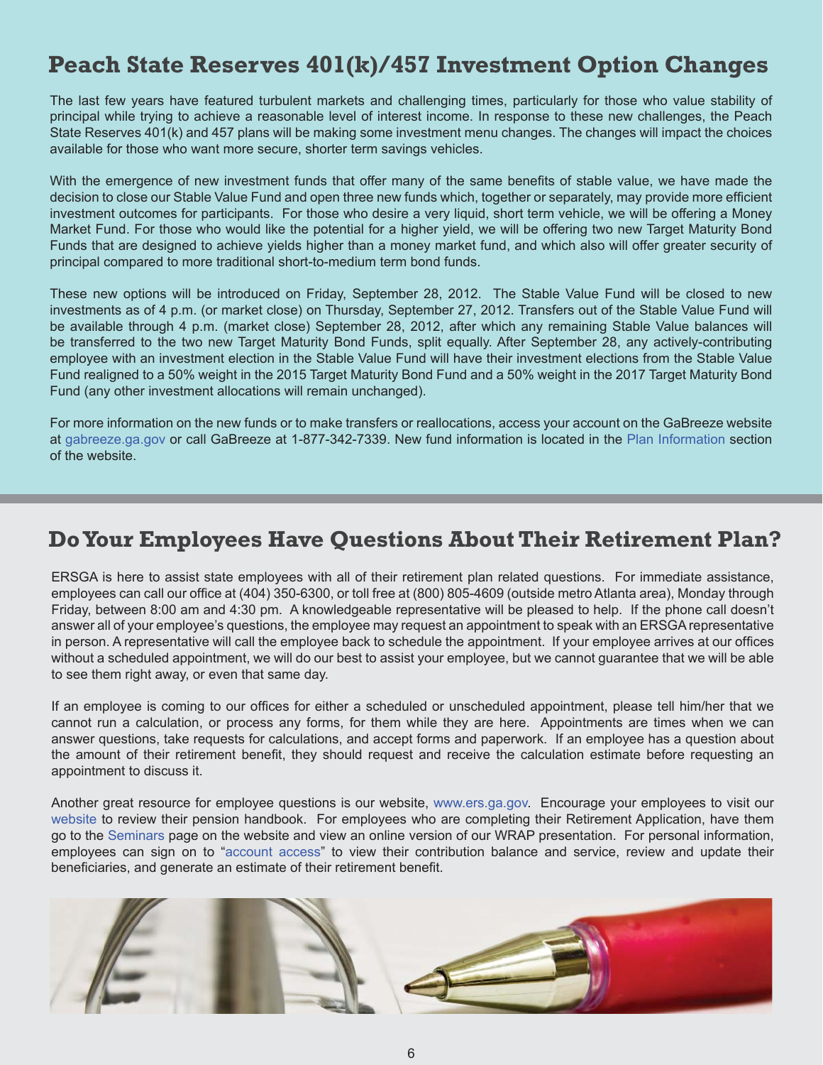### **Peach State Reserves 401(k)/457 Investment Option Changes**

The last few years have featured turbulent markets and challenging times, particularly for those who value stability of principal while trying to achieve a reasonable level of interest income. In response to these new challenges, the Peach State Reserves 401(k) and 457 plans will be making some investment menu changes. The changes will impact the choices available for those who want more secure, shorter term savings vehicles.

With the emergence of new investment funds that offer many of the same benefits of stable value, we have made the decision to close our Stable Value Fund and open three new funds which, together or separately, may provide more efficient investment outcomes for participants. For those who desire a very liquid, short term vehicle, we will be offering a Money Market Fund. For those who would like the potential for a higher yield, we will be offering two new Target Maturity Bond Funds that are designed to achieve yields higher than a money market fund, and which also will offer greater security of principal compared to more traditional short-to-medium term bond funds.

These new options will be introduced on Friday, September 28, 2012. The Stable Value Fund will be closed to new investments as of 4 p.m. (or market close) on Thursday, September 27, 2012. Transfers out of the Stable Value Fund will be available through 4 p.m. (market close) September 28, 2012, after which any remaining Stable Value balances will be transferred to the two new Target Maturity Bond Funds, split equally. After September 28, any actively-contributing employee with an investment election in the Stable Value Fund will have their investment elections from the Stable Value Fund realigned to a 50% weight in the 2015 Target Maturity Bond Fund and a 50% weight in the 2017 Target Maturity Bond Fund (any other investment allocations will remain unchanged).

For more information on the new funds or to make transfers or reallocations, access your account on the GaBreeze website at [gabreeze.ga.gov](http://resources.hewitt.com/stateofgeorgia/) or call GaBreeze at 1-877-342-7339. New fund information is located in the [Plan Information s](http://www.ers.ga.gov/plans/psr/planinfo.aspx)ection of the website.

### **Do Your Employees Have Questions About Their Retirement Plan?**

ERSGA is here to assist state employees with all of their retirement plan related questions. For immediate assistance, employees can call our office at (404) 350-6300, or toll free at (800) 805-4609 (outside metro Atlanta area), Monday through Friday, between 8:00 am and 4:30 pm. A knowledgeable representative will be pleased to help. If the phone call doesn't answer all of your employee's questions, the employee may request an appointment to speak with an ERSGA representative in person. A representative will call the employee back to schedule the appointment. If your employee arrives at our offices without a scheduled appointment, we will do our best to assist your employee, but we cannot guarantee that we will be able to see them right away, or even that same day.

If an employee is coming to our offices for either a scheduled or unscheduled appointment, please tell him/her that we cannot run a calculation, or process any forms, for them while they are here. Appointments are times when we can answer questions, take requests for calculations, and accept forms and paperwork. If an employee has a question about the amount of their retirement benefit, they should request and receive the calculation estimate before requesting an appointment to discuss it.

Another great resource for employee questions is our website, www.ers.ga.gov. Encourage your employees to visit our [website](http://www.ers.ga.gov) to review their pension handbook. For employees who are completing their Retirement Application, have them go to the [Seminars](http://www.ers.ga.gov/seminars/seminars.aspx) page on the website and view an online version of our WRAP presentation. For personal information, employees can sign on to "[account access"](http://www.ers.ga.gov/accountaccess/accountaccess.aspx) to view their contribution balance and service, review and update their beneficiaries, and generate an estimate of their retirement benefit.